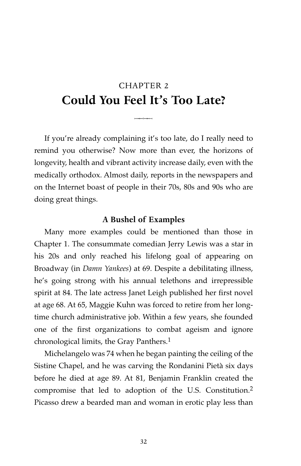# ו ב.<br>......... CHAPTER 2 **Could You Feel It's Too Late?**

If you're already complaining it's too late, do I really need to remind you otherwise? Now more than ever, the horizons of longevity, health and vibrant activity increase daily, even with the medically orthodox. Almost daily, reports in the newspapers and on the Internet boast of people in their 70s, 80s and 90s who are doing great things.

#### **A Bushel of Examples**

Many more examples could be mentioned than those in Chapter 1. The consummate comedian Jerry Lewis was a star in his 20s and only reached his lifelong goal of appearing on Broadway (in *Damn Yankees*) at 69. Despite a debilitating illness, he's going strong with his annual telethons and irrepressible spirit at 84. The late actress Janet Leigh published her first novel at age 68. At 65, Maggie Kuhn was forced to retire from her longtime church administrative job. Within a few years, she founded one of the first organizations to combat ageism and ignore chronological limits, the Gray Panthers.1

Michelangelo was 74 when he began painting the ceiling of the Sistine Chapel, and he was carving the Rondanini Pietà six days before he died at age 89. At 81, Benjamin Franklin created the compromise that led to adoption of the U.S. Constitution.2 Picasso drew a bearded man and woman in erotic play less than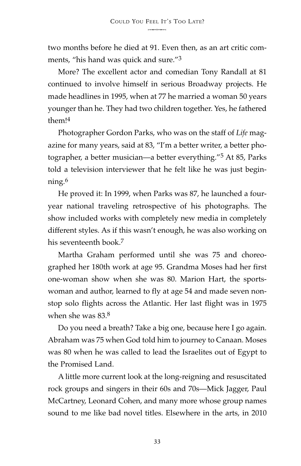two months before he died at 91. Even then, as an art critic comments, "his hand was quick and sure."3

More? The excellent actor and comedian Tony Randall at 81 continued to involve himself in serious Broadway projects. He made headlines in 1995, when at 77 he married a woman 50 years younger than he. They had two children together. Yes, he fathered them!4

Photographer Gordon Parks, who was on the staff of *Life* magazine for many years, said at 83, "I'm a better writer, a better photographer, a better musician—a better everything."5 At 85, Parks told a television interviewer that he felt like he was just beginning.6

He proved it: In 1999, when Parks was 87, he launched a fouryear national traveling retrospective of his photographs. The show included works with completely new media in completely different styles. As if this wasn't enough, he was also working on his seventeenth book.7

Martha Graham performed until she was 75 and choreographed her 180th work at age 95. Grandma Moses had her first one-woman show when she was 80. Marion Hart, the sportswoman and author, learned to fly at age 54 and made seven nonstop solo flights across the Atlantic. Her last flight was in 1975 when she was 83.8

Do you need a breath? Take a big one, because here I go again. Abraham was 75 when God told him to journey to Canaan. Moses was 80 when he was called to lead the Israelites out of Egypt to the Promised Land.

A little more current look at the long-reigning and resuscitated rock groups and singers in their 60s and 70s—Mick Jagger, Paul McCartney, Leonard Cohen, and many more whose group names sound to me like bad novel titles. Elsewhere in the arts, in 2010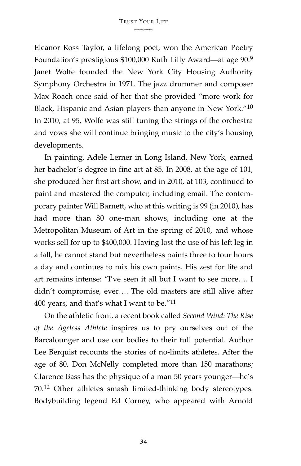Eleanor Ross Taylor, a lifelong poet, won the American Poetry Foundation's prestigious \$100,000 Ruth Lilly Award—at age 90.9 Janet Wolfe founded the New York City Housing Authority Symphony Orchestra in 1971. The jazz drummer and composer Max Roach once said of her that she provided "more work for Black, Hispanic and Asian players than anyone in New York."10 In 2010, at 95, Wolfe was still tuning the strings of the orchestra and vows she will continue bringing music to the city's housing developments.

In painting, Adele Lerner in Long Island, New York, earned her bachelor's degree in fine art at 85. In 2008, at the age of 101, she produced her first art show, and in 2010, at 103, continued to paint and mastered the computer, including email. The contemporary painter Will Barnett, who at this writing is 99 (in 2010), has had more than 80 one-man shows, including one at the Metropolitan Museum of Art in the spring of 2010, and whose works sell for up to \$400,000. Having lost the use of his left leg in a fall, he cannot stand but nevertheless paints three to four hours a day and continues to mix his own paints. His zest for life and art remains intense: "I've seen it all but I want to see more…. I didn't compromise, ever…. The old masters are still alive after 400 years, and that's what I want to be."11

On the athletic front, a recent book called *Second Wind: The Rise of the Ageless Athlete* inspires us to pry ourselves out of the Barcalounger and use our bodies to their full potential. Author Lee Berquist recounts the stories of no-limits athletes. After the age of 80, Don McNelly completed more than 150 marathons; Clarence Bass has the physique of a man 50 years younger—he's 70.12 Other athletes smash limited-thinking body stereotypes. Bodybuilding legend Ed Corney, who appeared with Arnold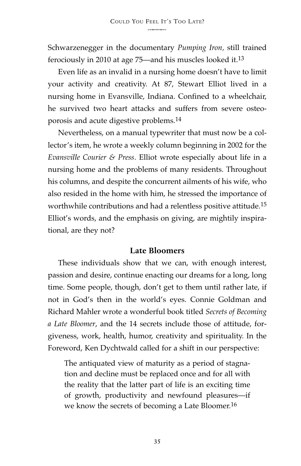Schwarzenegger in the documentary *Pumping Iron,* still trained ferociously in 2010 at age 75—and his muscles looked it.13

Even life as an invalid in a nursing home doesn't have to limit your activity and creativity. At 87, Stewart Elliot lived in a nursing home in Evansville, Indiana. Confined to a wheelchair, he survived two heart attacks and suffers from severe osteoporosis and acute digestive problems.14

Nevertheless, on a manual typewriter that must now be a collector's item, he wrote a weekly column beginning in 2002 for the *Evansville Courier & Press.* Elliot wrote especially about life in a nursing home and the problems of many residents. Throughout his columns, and despite the concurrent ailments of his wife, who also resided in the home with him, he stressed the importance of worthwhile contributions and had a relentless positive attitude.15 Elliot's words, and the emphasis on giving, are mightily inspirational, are they not?

#### **Late Bloomers**

These individuals show that we can, with enough interest, passion and desire, continue enacting our dreams for a long, long time. Some people, though, don't get to them until rather late, if not in God's then in the world's eyes. Connie Goldman and Richard Mahler wrote a wonderful book titled *Secrets of Becoming a Late Bloomer*, and the 14 secrets include those of attitude, forgiveness, work, health, humor, creativity and spirituality. In the Foreword, Ken Dychtwald called for a shift in our perspective:

The antiquated view of maturity as a period of stagnation and decline must be replaced once and for all with the reality that the latter part of life is an exciting time of growth, productivity and newfound pleasures—if we know the secrets of becoming a Late Bloomer.<sup>16</sup>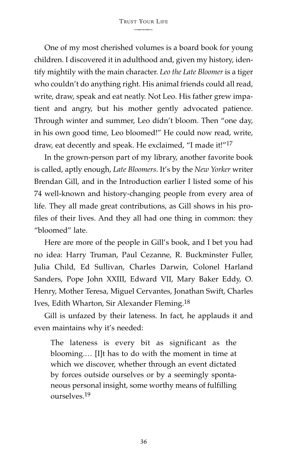One of my most cherished volumes is a board book for young children. I discovered it in adulthood and, given my history, identify mightily with the main character. *Leo the Late Bloomer* is a tiger who couldn't do anything right. His animal friends could all read, write, draw, speak and eat neatly. Not Leo. His father grew impatient and angry, but his mother gently advocated patience. Through winter and summer, Leo didn't bloom. Then "one day, in his own good time, Leo bloomed!" He could now read, write, draw, eat decently and speak. He exclaimed, "I made it!"<sup>17</sup>

In the grown-person part of my library, another favorite book is called, aptly enough, *Late Bloomers*. It's by the *New Yorker* writer Brendan Gill, and in the Introduction earlier I listed some of his 74 well-known and history-changing people from every area of life. They all made great contributions, as Gill shows in his profiles of their lives. And they all had one thing in common: they "bloomed" late.

Here are more of the people in Gill's book, and I bet you had no idea: Harry Truman, Paul Cezanne, R. Buckminster Fuller, Julia Child, Ed Sullivan, Charles Darwin, Colonel Harland Sanders, Pope John XXIII, Edward VII, Mary Baker Eddy, O. Henry, Mother Teresa, Miguel Cervantes, Jonathan Swift, Charles Ives, Edith Wharton, Sir Alexander Fleming.18

Gill is unfazed by their lateness. In fact, he applauds it and even maintains why it's needed:

The lateness is every bit as significant as the blooming.… [I]t has to do with the moment in time at which we discover, whether through an event dictated by forces outside ourselves or by a seemingly spontaneous personal insight, some worthy means of fulfilling ourselves.19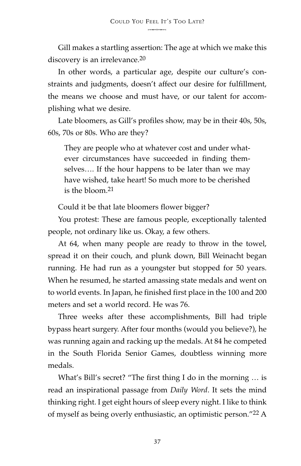Gill makes a startling assertion: The age at which we make this discovery is an irrelevance.<sup>20</sup>

In other words, a particular age, despite our culture's constraints and judgments, doesn't affect our desire for fulfillment, the means we choose and must have, or our talent for accomplishing what we desire.

Late bloomers, as Gill's profiles show, may be in their 40s, 50s, 60s, 70s or 80s. Who are they?

They are people who at whatever cost and under whatever circumstances have succeeded in finding themselves…. If the hour happens to be later than we may have wished, take heart! So much more to be cherished is the bloom.21

Could it be that late bloomers flower bigger?

You protest: These are famous people, exceptionally talented people, not ordinary like us. Okay, a few others.

At 64, when many people are ready to throw in the towel, spread it on their couch, and plunk down, Bill Weinacht began running. He had run as a youngster but stopped for 50 years. When he resumed, he started amassing state medals and went on to world events. In Japan, he finished first place in the 100 and 200 meters and set a world record. He was 76.

Three weeks after these accomplishments, Bill had triple bypass heart surgery. After four months (would you believe?), he was running again and racking up the medals. At 84 he competed in the South Florida Senior Games, doubtless winning more medals.

What's Bill's secret? "The first thing I do in the morning … is read an inspirational passage from *Daily Word*. It sets the mind thinking right. I get eight hours of sleep every night. I like to think of myself as being overly enthusiastic, an optimistic person."22 A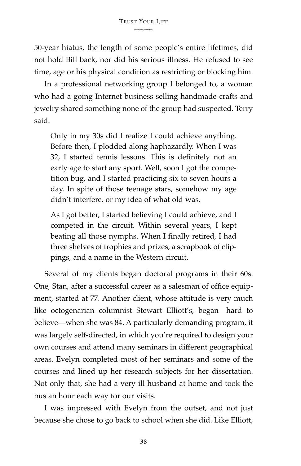50-year hiatus, the length of some people's entire lifetimes, did not hold Bill back, nor did his serious illness. He refused to see time, age or his physical condition as restricting or blocking him.

In a professional networking group I belonged to, a woman who had a going Internet business selling handmade crafts and jewelry shared something none of the group had suspected. Terry said:

Only in my 30s did I realize I could achieve anything. Before then, I plodded along haphazardly. When I was 32, I started tennis lessons. This is definitely not an early age to start any sport. Well, soon I got the competition bug, and I started practicing six to seven hours a day. In spite of those teenage stars, somehow my age didn't interfere, or my idea of what old was.

As I got better, I started believing I could achieve, and I competed in the circuit. Within several years, I kept beating all those nymphs. When I finally retired, I had three shelves of trophies and prizes, a scrapbook of clippings, and a name in the Western circuit.

Several of my clients began doctoral programs in their 60s. One, Stan, after a successful career as a salesman of office equipment, started at 77. Another client, whose attitude is very much like octogenarian columnist Stewart Elliott's, began—hard to believe—when she was 84. A particularly demanding program, it was largely self-directed, in which you're required to design your own courses and attend many seminars in different geographical areas. Evelyn completed most of her seminars and some of the courses and lined up her research subjects for her dissertation. Not only that, she had a very ill husband at home and took the bus an hour each way for our visits.

I was impressed with Evelyn from the outset, and not just because she chose to go back to school when she did. Like Elliott,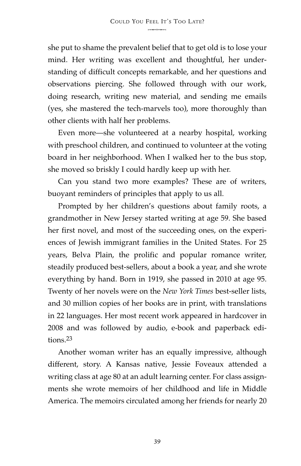she put to shame the prevalent belief that to get old is to lose your mind. Her writing was excellent and thoughtful, her understanding of difficult concepts remarkable, and her questions and observations piercing. She followed through with our work, doing research, writing new material, and sending me emails (yes, she mastered the tech-marvels too), more thoroughly than other clients with half her problems.

Even more—she volunteered at a nearby hospital, working with preschool children, and continued to volunteer at the voting board in her neighborhood. When I walked her to the bus stop, she moved so briskly I could hardly keep up with her.

Can you stand two more examples? These are of writers, buoyant reminders of principles that apply to us all.

Prompted by her children's questions about family roots, a grandmother in New Jersey started writing at age 59. She based her first novel, and most of the succeeding ones, on the experiences of Jewish immigrant families in the United States. For 25 years, Belva Plain, the prolific and popular romance writer, steadily produced best-sellers, about a book a year, and she wrote everything by hand. Born in 1919, she passed in 2010 at age 95. Twenty of her novels were on the *New York Times* best-seller lists, and 30 million copies of her books are in print, with translations in 22 languages. Her most recent work appeared in hardcover in 2008 and was followed by audio, e-book and paperback editions.23

Another woman writer has an equally impressive, although different, story. A Kansas native, Jessie Foveaux attended a writing class at age 80 at an adult learning center. For class assignments she wrote memoirs of her childhood and life in Middle America. The memoirs circulated among her friends for nearly 20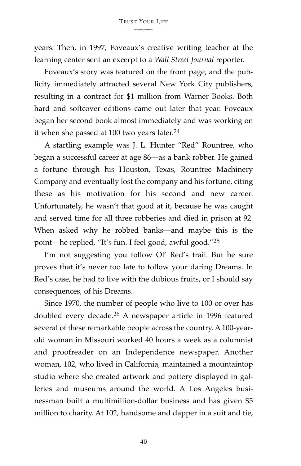years. Then, in 1997, Foveaux's creative writing teacher at the learning center sent an excerpt to a *Wall Street Journal* reporter.

Foveaux's story was featured on the front page, and the publicity immediately attracted several New York City publishers, resulting in a contract for \$1 million from Warner Books. Both hard and softcover editions came out later that year. Foveaux began her second book almost immediately and was working on it when she passed at 100 two years later.<sup>24</sup>

A startling example was J. L. Hunter "Red" Rountree, who began a successful career at age 86—as a bank robber. He gained a fortune through his Houston, Texas, Rountree Machinery Company and eventually lost the company and his fortune, citing these as his motivation for his second and new career. Unfortunately, he wasn't that good at it, because he was caught and served time for all three robberies and died in prison at 92. When asked why he robbed banks—and maybe this is the point—he replied, "It's fun. I feel good, awful good."25

I'm not suggesting you follow Ol' Red's trail. But he sure proves that it's never too late to follow your daring Dreams. In Red's case, he had to live with the dubious fruits, or I should say consequences, of his Dreams.

Since 1970, the number of people who live to 100 or over has doubled every decade.26 A newspaper article in 1996 featured several of these remarkable people across the country. A 100-yearold woman in Missouri worked 40 hours a week as a columnist and proofreader on an Independence newspaper. Another woman, 102, who lived in California, maintained a mountaintop studio where she created artwork and pottery displayed in galleries and museums around the world. A Los Angeles businessman built a multimillion-dollar business and has given \$5 million to charity. At 102, handsome and dapper in a suit and tie,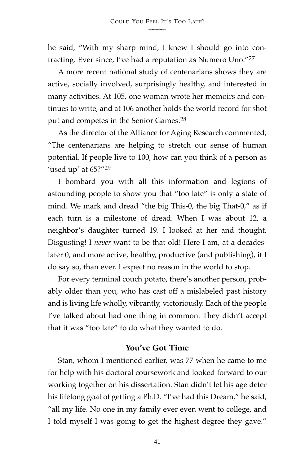he said, "With my sharp mind, I knew I should go into contracting. Ever since, I've had a reputation as Numero Uno."27

A more recent national study of centenarians shows they are active, socially involved, surprisingly healthy, and interested in many activities. At 105, one woman wrote her memoirs and continues to write, and at 106 another holds the world record for shot put and competes in the Senior Games.28

As the director of the Alliance for Aging Research commented, "The centenarians are helping to stretch our sense of human potential. If people live to 100, how can you think of a person as 'used up' at 65?"<sup>29</sup>

I bombard you with all this information and legions of astounding people to show you that "too late" is only a state of mind. We mark and dread "the big This-0, the big That-0," as if each turn is a milestone of dread. When I was about 12, a neighbor's daughter turned 19. I looked at her and thought, Disgusting! I *never* want to be that old! Here I am, at a decadeslater 0, and more active, healthy, productive (and publishing), if I do say so, than ever. I expect no reason in the world to stop.

For every terminal couch potato, there's another person, probably older than you, who has cast off a mislabeled past history and is living life wholly, vibrantly, victoriously. Each of the people I've talked about had one thing in common: They didn't accept that it was "too late" to do what they wanted to do.

#### **You've Got Time**

Stan, whom I mentioned earlier, was 77 when he came to me for help with his doctoral coursework and looked forward to our working together on his dissertation. Stan didn't let his age deter his lifelong goal of getting a Ph.D. "I've had this Dream," he said, "all my life. No one in my family ever even went to college, and I told myself I was going to get the highest degree they gave."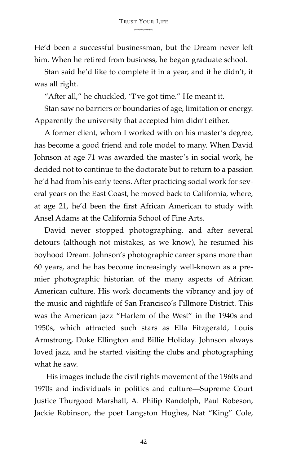He'd been a successful businessman, but the Dream never left him. When he retired from business, he began graduate school.

Stan said he'd like to complete it in a year, and if he didn't, it was all right.

"After all," he chuckled, "I've got time." He meant it.

Stan saw no barriers or boundaries of age, limitation or energy. Apparently the university that accepted him didn't either.

A former client, whom I worked with on his master's degree, has become a good friend and role model to many. When David Johnson at age 71 was awarded the master's in social work, he decided not to continue to the doctorate but to return to a passion he'd had from his early teens. After practicing social work for several years on the East Coast, he moved back to California, where, at age 21, he'd been the first African American to study with Ansel Adams at the California School of Fine Arts.

David never stopped photographing, and after several detours (although not mistakes, as we know), he resumed his boyhood Dream. Johnson's photographic career spans more than 60 years, and he has become increasingly well-known as a premier photographic historian of the many aspects of African American culture. His work documents the vibrancy and joy of the music and nightlife of San Francisco's Fillmore District. This was the American jazz "Harlem of the West" in the 1940s and 1950s, which attracted such stars as Ella Fitzgerald, Louis Armstrong, Duke Ellington and Billie Holiday. Johnson always loved jazz, and he started visiting the clubs and photographing what he saw.

His images include the civil rights movement of the 1960s and 1970s and individuals in politics and culture—Supreme Court Justice Thurgood Marshall, A. Philip Randolph, Paul Robeson, Jackie Robinson, the poet Langston Hughes, Nat "King" Cole,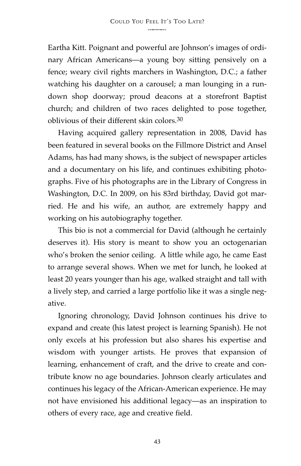Eartha Kitt. Poignant and powerful are Johnson's images of ordinary African Americans—a young boy sitting pensively on a fence; weary civil rights marchers in Washington, D.C.; a father watching his daughter on a carousel; a man lounging in a rundown shop doorway; proud deacons at a storefront Baptist church; and children of two races delighted to pose together, oblivious of their different skin colors.30

Having acquired gallery representation in 2008, David has been featured in several books on the Fillmore District and Ansel Adams, has had many shows, is the subject of newspaper articles and a documentary on his life, and continues exhibiting photographs. Five of his photographs are in the Library of Congress in Washington, D.C. In 2009, on his 83rd birthday, David got married. He and his wife, an author, are extremely happy and working on his autobiography together.

This bio is not a commercial for David (although he certainly deserves it). His story is meant to show you an octogenarian who's broken the senior ceiling. A little while ago, he came East to arrange several shows. When we met for lunch, he looked at least 20 years younger than his age, walked straight and tall with a lively step, and carried a large portfolio like it was a single negative.

Ignoring chronology, David Johnson continues his drive to expand and create (his latest project is learning Spanish). He not only excels at his profession but also shares his expertise and wisdom with younger artists. He proves that expansion of learning, enhancement of craft, and the drive to create and contribute know no age boundaries. Johnson clearly articulates and continues his legacy of the African-American experience. He may not have envisioned his additional legacy—as an inspiration to others of every race, age and creative field.

43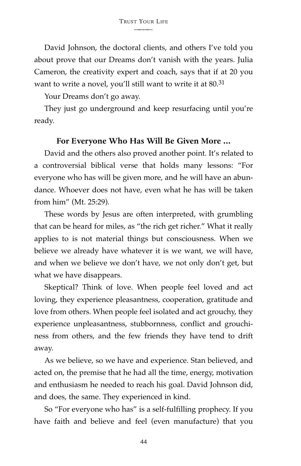David Johnson, the doctoral clients, and others I've told you about prove that our Dreams don't vanish with the years. Julia Cameron, the creativity expert and coach, says that if at 20 you want to write a novel, you'll still want to write it at 80.<sup>31</sup>

Your Dreams don't go away.

They just go underground and keep resurfacing until you're ready.

#### **For Everyone Who Has Will Be Given More ...**

David and the others also proved another point. It's related to a controversial biblical verse that holds many lessons: "For everyone who has will be given more, and he will have an abundance. Whoever does not have, even what he has will be taken from him" (Mt. 25:29).

These words by Jesus are often interpreted, with grumbling that can be heard for miles, as "the rich get richer." What it really applies to is not material things but consciousness. When we believe we already have whatever it is we want, we will have, and when we believe we don't have, we not only don't get, but what we have disappears.

Skeptical? Think of love. When people feel loved and act loving, they experience pleasantness, cooperation, gratitude and love from others. When people feel isolated and act grouchy, they experience unpleasantness, stubbornness, conflict and grouchiness from others, and the few friends they have tend to drift away.

As we believe, so we have and experience. Stan believed, and acted on, the premise that he had all the time, energy, motivation and enthusiasm he needed to reach his goal. David Johnson did, and does, the same. They experienced in kind.

So "For everyone who has" is a self-fulfilling prophecy. If you have faith and believe and feel (even manufacture) that you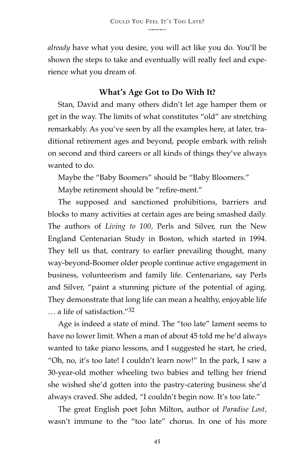*already* have what you desire, you will act like you do. You'll be shown the steps to take and eventually will really feel and experience what you dream of.

#### **What's Age Got to Do With It?**

Stan, David and many others didn't let age hamper them or get in the way. The limits of what constitutes "old" are stretching remarkably. As you've seen by all the examples here, at later, traditional retirement ages and beyond, people embark with relish on second and third careers or all kinds of things they've always wanted to do.

Maybe the "Baby Boomers" should be "Baby Bloomers."

Maybe retirement should be "refire-ment."

The supposed and sanctioned prohibitions, barriers and blocks to many activities at certain ages are being smashed daily. The authors of *Living to 100,* Perls and Silver, run the New England Centenarian Study in Boston, which started in 1994. They tell us that, contrary to earlier prevailing thought, many way-beyond-Boomer older people continue active engagement in business, volunteerism and family life. Centenarians, say Perls and Silver, "paint a stunning picture of the potential of aging. They demonstrate that long life can mean a healthy, enjoyable life … a life of satisfaction."32

Age is indeed a state of mind. The "too late" lament seems to have no lower limit. When a man of about 45 told me he'd always wanted to take piano lessons, and I suggested he start, he cried, "Oh, no, it's too late! I couldn't learn now!" In the park, I saw a 30-year-old mother wheeling two babies and telling her friend she wished she'd gotten into the pastry-catering business she'd always craved. She added, "I couldn't begin now. It's too late."

The great English poet John Milton, author of *Paradise Lost,* wasn't immune to the "too late" chorus. In one of his more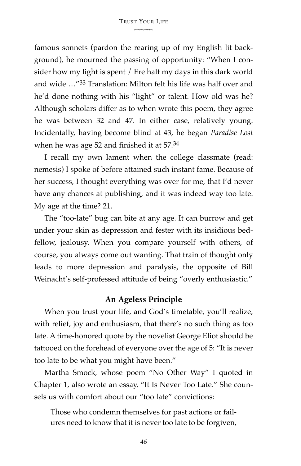famous sonnets (pardon the rearing up of my English lit background), he mourned the passing of opportunity: "When I consider how my light is spent / Ere half my days in this dark world and wide …"33 Translation: Milton felt his life was half over and he'd done nothing with his "light" or talent. How old was he? Although scholars differ as to when wrote this poem, they agree he was between 32 and 47. In either case, relatively young. Incidentally, having become blind at 43, he began *Paradise Lost* when he was age 52 and finished it at 57.34

I recall my own lament when the college classmate (read: nemesis) I spoke of before attained such instant fame. Because of her success, I thought everything was over for me, that I'd never have any chances at publishing, and it was indeed way too late. My age at the time? 21.

The "too-late" bug can bite at any age. It can burrow and get under your skin as depression and fester with its insidious bedfellow, jealousy. When you compare yourself with others, of course, you always come out wanting. That train of thought only leads to more depression and paralysis, the opposite of Bill Weinacht's self-professed attitude of being "overly enthusiastic."

## **An Ageless Principle**

When you trust your life, and God's timetable, you'll realize, with relief, joy and enthusiasm, that there's no such thing as too late. A time-honored quote by the novelist George Eliot should be tattooed on the forehead of everyone over the age of 5: "It is never too late to be what you might have been."

Martha Smock, whose poem "No Other Way" I quoted in Chapter 1, also wrote an essay, "It Is Never Too Late." She counsels us with comfort about our "too late" convictions:

Those who condemn themselves for past actions or failures need to know that it is never too late to be forgiven,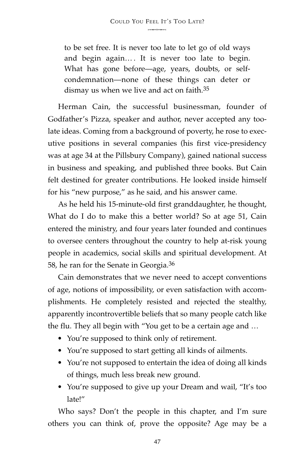to be set free. It is never too late to let go of old ways and begin again… . It is never too late to begin. What has gone before—age, years, doubts, or selfcondemnation—none of these things can deter or dismay us when we live and act on faith.35

Herman Cain, the successful businessman, founder of Godfather's Pizza, speaker and author, never accepted any toolate ideas. Coming from a background of poverty, he rose to executive positions in several companies (his first vice-presidency was at age 34 at the Pillsbury Company), gained national success in business and speaking, and published three books. But Cain felt destined for greater contributions. He looked inside himself for his "new purpose," as he said, and his answer came.

As he held his 15-minute-old first granddaughter, he thought, What do I do to make this a better world? So at age 51, Cain entered the ministry, and four years later founded and continues to oversee centers throughout the country to help at-risk young people in academics, social skills and spiritual development. At 58, he ran for the Senate in Georgia.36

Cain demonstrates that we never need to accept conventions of age, notions of impossibility, or even satisfaction with accomplishments. He completely resisted and rejected the stealthy, apparently incontrovertible beliefs that so many people catch like the flu. They all begin with "You get to be a certain age and …

- You're supposed to think only of retirement.
- You're supposed to start getting all kinds of ailments.
- You're not supposed to entertain the idea of doing all kinds of things, much less break new ground.
- You're supposed to give up your Dream and wail, "It's too late!"

Who says? Don't the people in this chapter, and I'm sure others you can think of, prove the opposite? Age may be a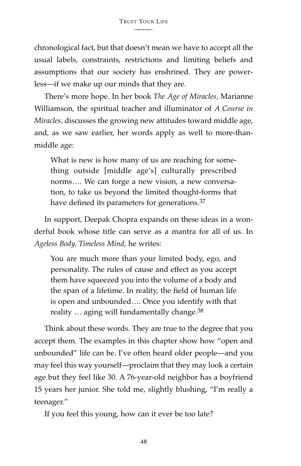chronological fact, but that doesn't mean we have to accept all the usual labels, constraints, restrictions and limiting beliefs and assumptions that our society has enshrined. They are powerless—if we make up our minds that they are.

There's more hope. In her book *The Age of Miracles,* Marianne Williamson, the spiritual teacher and illuminator of *A Course in Miracles,* discusses the growing new attitudes toward middle age, and, as we saw earlier, her words apply as well to more-thanmiddle age:

What is new is how many of us are reaching for something outside [middle age's] culturally prescribed norms…. We can forge a new vision, a new conversation, to take us beyond the limited thought-forms that have defined its parameters for generations.<sup>37</sup>

In support, Deepak Chopra expands on these ideas in a wonderful book whose title can serve as a mantra for all of us. In *Ageless Body, Timeless Mind*, he writes:

You are much more than your limited body, ego, and personality. The rules of cause and effect as you accept them have squeezed you into the volume of a body and the span of a lifetime. In reality, the field of human life is open and unbounded…. Once you identify with that reality ... aging will fundamentally change.<sup>38</sup>

Think about these words. They are true to the degree that you accept them. The examples in this chapter show how "open and unbounded" life can be. I've often heard older people—and you may feel this way yourself—proclaim that they may look a certain age but they feel like 30. A 76-year-old neighbor has a boyfriend 15 years her junior. She told me, slightly blushing, "I'm really a teenager."

If you feel this young, how can it ever be too late?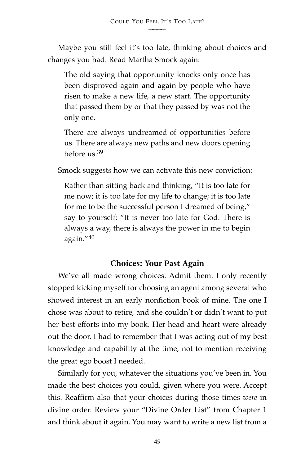Maybe you still feel it's too late, thinking about choices and changes you had. Read Martha Smock again:

The old saying that opportunity knocks only once has been disproved again and again by people who have risen to make a new life, a new start. The opportunity that passed them by or that they passed by was not the only one.

There are always undreamed-of opportunities before us. There are always new paths and new doors opening before  $us.39$ 

Smock suggests how we can activate this new conviction:

Rather than sitting back and thinking, "It is too late for me now; it is too late for my life to change; it is too late for me to be the successful person I dreamed of being," say to yourself: "It is never too late for God. There is always a way, there is always the power in me to begin again."40

#### **Choices: Your Past Again**

We've all made wrong choices. Admit them. I only recently stopped kicking myself for choosing an agent among several who showed interest in an early nonfiction book of mine. The one I chose was about to retire, and she couldn't or didn't want to put her best efforts into my book. Her head and heart were already out the door. I had to remember that I was acting out of my best knowledge and capability at the time, not to mention receiving the great ego boost I needed.

Similarly for you, whatever the situations you've been in. You made the best choices you could, given where you were. Accept this. Reaffirm also that your choices during those times *were* in divine order. Review your "Divine Order List" from Chapter 1 and think about it again. You may want to write a new list from a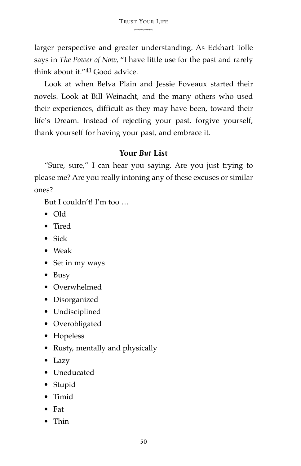larger perspective and greater understanding. As Eckhart Tolle says in *The Power of Now,* "I have little use for the past and rarely think about it."41 Good advice.

Look at when Belva Plain and Jessie Foveaux started their novels. Look at Bill Weinacht, and the many others who used their experiences, difficult as they may have been, toward their life's Dream. Instead of rejecting your past, forgive yourself, thank yourself for having your past, and embrace it.

# **Your** *But* **List**

"Sure, sure," I can hear you saying. Are you just trying to please me? Are you really intoning any of these excuses or similar ones?

But I couldn't! I'm too …

- Old
- Tired
- Sick
- Weak
- Set in my ways
- Busy
- Overwhelmed
- Disorganized
- Undisciplined
- Overobligated
- Hopeless
- Rusty, mentally and physically
- Lazy
- Uneducated
- Stupid
- Timid
- Fat
- Thin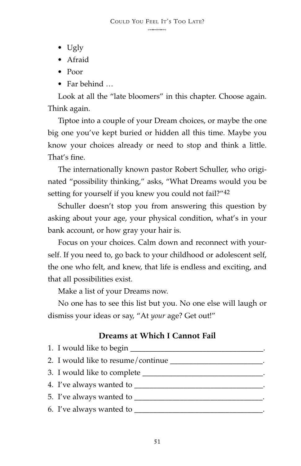- Ugly
- Afraid
- Poor
- Far behind …

Look at all the "late bloomers" in this chapter. Choose again. Think again.

Tiptoe into a couple of your Dream choices, or maybe the one big one you've kept buried or hidden all this time. Maybe you know your choices already or need to stop and think a little. That's fine.

The internationally known pastor Robert Schuller, who originated "possibility thinking," asks, "What Dreams would you be setting for yourself if you knew you could not fail?"42

Schuller doesn't stop you from answering this question by asking about your age, your physical condition, what's in your bank account, or how gray your hair is.

Focus on your choices. Calm down and reconnect with yourself. If you need to, go back to your childhood or adolescent self, the one who felt, and knew, that life is endless and exciting, and that all possibilities exist.

Make a list of your Dreams now.

No one has to see this list but you. No one else will laugh or dismiss your ideas or say, "At *your* age? Get out!"

## **Dreams at Which I Cannot Fail**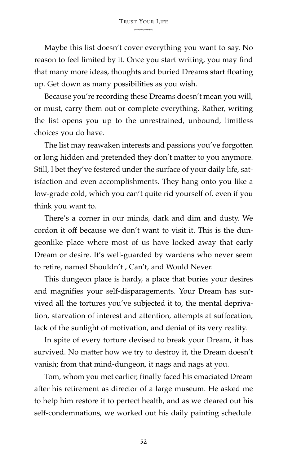Maybe this list doesn't cover everything you want to say. No reason to feel limited by it. Once you start writing, you may find that many more ideas, thoughts and buried Dreams start floating up. Get down as many possibilities as you wish.

Because you're recording these Dreams doesn't mean you will, or must, carry them out or complete everything. Rather, writing the list opens you up to the unrestrained, unbound, limitless choices you do have.

The list may reawaken interests and passions you've forgotten or long hidden and pretended they don't matter to you anymore. Still, I bet they've festered under the surface of your daily life, satisfaction and even accomplishments. They hang onto you like a low-grade cold, which you can't quite rid yourself of, even if you think you want to.

There's a corner in our minds, dark and dim and dusty. We cordon it off because we don't want to visit it. This is the dungeonlike place where most of us have locked away that early Dream or desire. It's well-guarded by wardens who never seem to retire, named Shouldn't , Can't, and Would Never.

This dungeon place is hardy, a place that buries your desires and magnifies your self-disparagements. Your Dream has survived all the tortures you've subjected it to, the mental deprivation, starvation of interest and attention, attempts at suffocation, lack of the sunlight of motivation, and denial of its very reality.

In spite of every torture devised to break your Dream, it has survived. No matter how we try to destroy it, the Dream doesn't vanish; from that mind-dungeon, it nags and nags at you.

Tom, whom you met earlier, finally faced his emaciated Dream after his retirement as director of a large museum. He asked me to help him restore it to perfect health, and as we cleared out his self-condemnations, we worked out his daily painting schedule.

52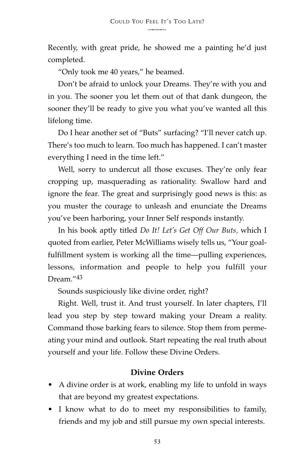Recently, with great pride, he showed me a painting he'd just completed.

"Only took me 40 years," he beamed.

Don't be afraid to unlock your Dreams. They're with you and in you. The sooner you let them out of that dank dungeon, the sooner they'll be ready to give you what you've wanted all this lifelong time.

Do I hear another set of "Buts" surfacing? "I'll never catch up. There's too much to learn. Too much has happened. I can't master everything I need in the time left."

Well, sorry to undercut all those excuses. They're only fear cropping up, masquerading as rationality. Swallow hard and ignore the fear. The great and surprisingly good news is this: as you muster the courage to unleash and enunciate the Dreams you've been harboring, your Inner Self responds instantly.

In his book aptly titled *Do It! Let's Get Off Our Buts,* which I quoted from earlier, Peter McWilliams wisely tells us, "Your goalfulfillment system is working all the time—pulling experiences, lessons, information and people to help you fulfill your Dream."43

Sounds suspiciously like divine order, right?

Right. Well, trust it. And trust yourself. In later chapters, I'll lead you step by step toward making your Dream a reality. Command those barking fears to silence. Stop them from permeating your mind and outlook. Start repeating the real truth about yourself and your life. Follow these Divine Orders.

#### **Divine Orders**

- A divine order is at work, enabling my life to unfold in ways that are beyond my greatest expectations.
- I know what to do to meet my responsibilities to family, friends and my job and still pursue my own special interests.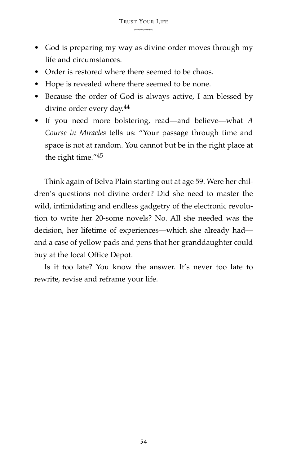- God is preparing my way as divine order moves through my life and circumstances.
- Order is restored where there seemed to be chaos.
- Hope is revealed where there seemed to be none.
- Because the order of God is always active, I am blessed by divine order every day.44
- If you need more bolstering, read—and believe—what *A Course in Miracles* tells us: "Your passage through time and space is not at random. You cannot but be in the right place at the right time."45

Think again of Belva Plain starting out at age 59. Were her children's questions not divine order? Did she need to master the wild, intimidating and endless gadgetry of the electronic revolution to write her 20-some novels? No. All she needed was the decision, her lifetime of experiences—which she already had and a case of yellow pads and pens that her granddaughter could buy at the local Office Depot.

Is it too late? You know the answer. It's never too late to rewrite, revise and reframe your life.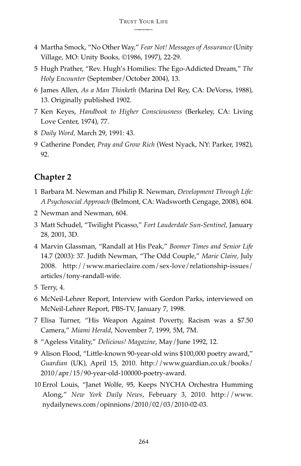- 4 Martha Smock, "No Other Way," *Fear Not! Messages of Assurance* (Unity Village, MO: Unity Books, ©1986, 1997), 22-29.
- 5 Hugh Prather, "Rev. Hugh's Homilies: The Ego-Addicted Dream," *The Holy Encounter* (September/October 2004), 13.
- 6 James Allen, *As a Man Thinketh* (Marina Del Rey, CA: DeVorss, 1988), 13. Originally published 1902.
- 7 Ken Keyes, *Handbook to Higher Consciousness* (Berkeley, CA: Living Love Center, 1974), 77.
- 8 *Daily Word,* March 29, 1991: 43.
- 9 Catherine Ponder, *Pray and Grow Rich* (West Nyack, NY: Parker, 1982), 92.

# **Chapter 2**

- 1 Barbara M. Newman and Philip R. Newman, *Development Through Life: A Psychosocial Approach* (Belmont, CA: Wadsworth Cengage, 2008), 604.
- 2 Newman and Newman, 604.
- 3 Matt Schudel, "Twilight Picasso," *Fort Lauderdale Sun-Sentinel*, January 28, 2001, 3D.
- 4 Marvin Glassman, "Randall at His Peak," *Boomer Times and Senior Life* 14.7 (2003): 37. Judith Newman, "The Odd Couple," *Marie Claire,* July 2008. http://www.marieclaire.com/sex-love/relationship-issues/ articles/tony-randall-wife.
- 5 Terry, 4.
- 6 McNeil-Lehrer Report, Interview with Gordon Parks, interviewed on McNeil-Lehrer Report, PBS-TV, January 7, 1998.
- 7 Elisa Turner, "His Weapon Against Poverty, Racism was a \$7.50 Camera," *Miami Herald*, November 7, 1999, 5M, 7M.
- 8 "Ageless Vitality," *Delicious! Magazine,* May/June 1992, 12.
- 9 Alison Flood, "Little-known 90-year-old wins \$100,000 poetry award," *Guardian* (UK), April 15, 2010. http://www.guardian.co.uk/books/ 2010/apr/15/90-year-old-100000-poetry-award.
- 10 Errol Louis, "Janet Wolfe, 95, Keeps NYCHA Orchestra Humming Along," *New York Daily News*, February 3, 2010. http://www. nydailynews.com/opinnions/2010/02/03/2010-02-03.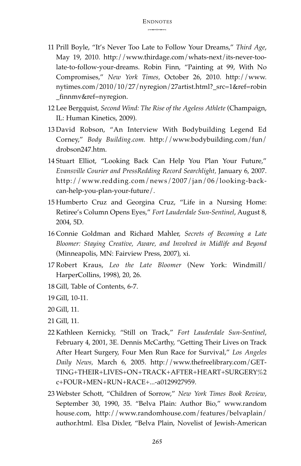- 11 Prill Boyle, "It's Never Too Late to Follow Your Dreams," *Third Age*, May 19, 2010. http://www.thirdage.com/whats-next/its-never-toolate-to-follow-your-dreams. Robin Finn, "Painting at 99, With No Compromises," *New York Times,* October 26, 2010. http://www. nytimes.com/2010/10/27/nyregion/27artist.html?\_src=1&ref=robin \_finnmv&ref=nyregion.
- 12 Lee Bergquist, *Second Wind: The Rise of the Ageless Athlete* (Champaign, IL: Human Kinetics, 2009).
- 13 David Robson, "An Interview With Bodybuilding Legend Ed Corney," *Body Building.com.* http://www.bodybuilding.com/fun/ drobson247.htm.
- 14 Stuart Elliot, "Looking Back Can Help You Plan Your Future," *Evansville Courier and PressRedding Record Searchlight,* January 6, 2007. http://www.redding.com/news/2007/jan/06/looking-backcan-help-you-plan-your-future/.
- 15 Humberto Cruz and Georgina Cruz, "Life in a Nursing Home: Retiree's Column Opens Eyes," *Fort Lauderdale Sun-Sentinel*, August 8, 2004, 5D.
- 16 Connie Goldman and Richard Mahler, *Secrets of Becoming a Late Bloomer: Staying Creative, Aware, and Involved in Midlife and Beyond* (Minneapolis, MN: Fairview Press, 2007), xi.
- 17 Robert Kraus, *Leo the Late Bloomer* (New York: Windmill/ HarperCollins, 1998), 20, 26.
- 18 Gill, Table of Contents, 6-7.
- 19 Gill, 10-11.
- 20 Gill, 11.
- 21 Gill, 11.
- 22 Kathleen Kernicky, "Still on Track," *Fort Lauderdale Sun-Sentinel*, February 4, 2001, 3E. Dennis McCarthy, "Getting Their Lives on Track After Heart Surgery, Four Men Run Race for Survival," *Los Angeles Daily News,* March 6, 2005. http://www.thefreelibrary.com/GET-TING+THEIR+LIVES+ON+TRACK+AFTER+HEART+SURGERY%2 c+FOUR+MEN+RUN+RACE+...-a0129927959.
- 23 Webster Schott, "Children of Sorrow," *New York Times Book Review*, September 30, 1990, 35. "Belva Plain: Author Bio," www.random house.com, http://www.randomhouse.com/features/belvaplain/ author.html. Elsa Dixler, "Belva Plain, Novelist of Jewish-American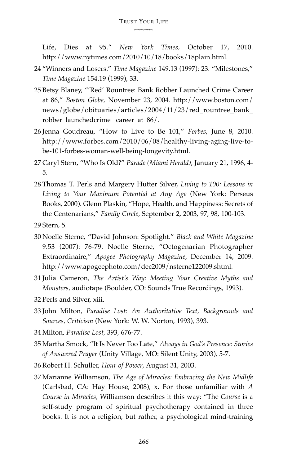Life, Dies at 95." *New York Times,* October 17, 2010. http://www.nytimes.com/2010/10/18/books/18plain.html.

- 24 "Winners and Losers." *Time Magazine* 149.13 (1997): 23. "Milestones," *Time Magazine* 154.19 (1999), 33.
- 25 Betsy Blaney, "'Red' Rountree: Bank Robber Launched Crime Career at 86," *Boston Globe,* November 23, 2004. http://www.boston.com/ news/globe/obituaries/articles/2004/11/23/red\_rountree\_bank\_ robber\_launchedcrime\_ career\_at\_86/.
- 26 Jenna Goudreau, "How to Live to Be 101," *Forbes*, June 8, 2010. http://www.forbes.com/2010/06/08/healthy-living-aging-live-tobe-101-forbes-woman-well-being-longevity.html.
- 27 Caryl Stern, "Who Is Old?" *Parade (Miami Herald)*, January 21, 1996, 4- 5.
- 28 Thomas T. Perls and Margery Hutter Silver, *Living to 100: Lessons in Living to Your Maximum Potential at Any Age* (New York: Perseus Books, 2000). Glenn Plaskin, "Hope, Health, and Happiness: Secrets of the Centenarians," *Family Circle,* September 2, 2003, 97, 98, 100-103.
- 29 Stern, 5.
- 30 Noelle Sterne, "David Johnson: Spotlight." *Black and White Magazine* 9.53 (2007): 76-79. Noelle Sterne, "Octogenarian Photographer Extraordinaire," *Apogee Photography Magazine,* December 14, 2009. http://www.apogeephoto.com/dec2009/nsterne122009.shtml.
- 31 Julia Cameron, *The Artist's Way: Meeting Your Creative Myths and Monsters,* audiotape (Boulder, CO: Sounds True Recordings, 1993).
- 32 Perls and Silver, xiii.
- 33 John Milton, *Paradise Lost: An Authoritative Text, Backgrounds and Sources, Criticism* (New York: W. W. Norton, 1993), 393.
- 34 Milton, *Paradise Lost,* 393, 676-77.
- 35 Martha Smock, "It Is Never Too Late," *Always in God's Presence: Stories of Answered Prayer* (Unity Village, MO: Silent Unity, 2003), 5-7.
- 36 Robert H. Schuller, *Hour of Power*, August 31, 2003.
- 37 Marianne Williamson, *The Age of Miracles: Embracing the New Midlife* (Carlsbad, CA: Hay House, 2008), x. For those unfamiliar with *A Course in Miracles,* Williamson describes it this way: "The *Course* is a self-study program of spiritual psychotherapy contained in three books. It is not a religion, but rather, a psychological mind-training